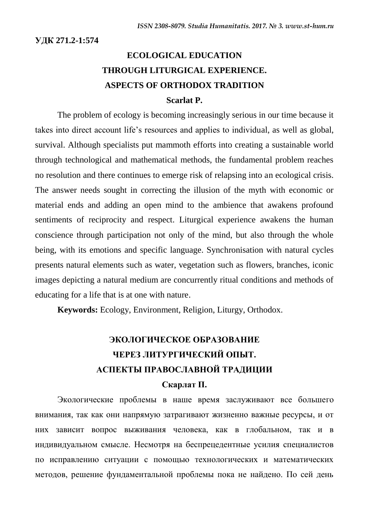**УДК 271.2-1:574**

# **ECOLOGICAL EDUCATION THROUGH LITURGICAL EXPERIENCE. ASPECTS OF ORTHODOX TRADITION Scarlat P.**

The problem of ecology is becoming increasingly serious in our time because it takes into direct account life's resources and applies to individual, as well as global, survival. Although specialists put mammoth efforts into creating a sustainable world through technological and mathematical methods, the fundamental problem reaches no resolution and there continues to emerge risk of relapsing into an ecological crisis. The answer needs sought in correcting the illusion of the myth with economic or material ends and adding an open mind to the ambience that awakens profound sentiments of reciprocity and respect. Liturgical experience awakens the human conscience through participation not only of the mind, but also through the whole being, with its emotions and specific language. Synchronisation with natural cycles presents natural elements such as water, vegetation such as flowers, branches, iconic images depicting a natural medium are concurrently ritual conditions and methods of educating for a life that is at one with nature.

**Keywords:** Ecology, Environment, Religion, Liturgy, Orthodox.

# **ЭКОЛОГИЧЕСКОЕ ОБРАЗОВАНИЕ ЧЕРЕЗ ЛИТУРГИЧЕСКИЙ ОПЫТ. АСПЕКТЫ ПРАВОСЛАВНОЙ ТРАДИЦИИ**

#### **Скарлат П.**

Экологические проблемы в наше время заслуживают все большего внимания, так как они напрямую затрагивают жизненно важные ресурсы, и от них зависит вопрос выживания человека, как в глобальном, так и в индивидуальном смысле. Несмотря на беспрецедентные усилия специалистов по исправлению ситуации с помощью технологических и математических методов, решение фундаментальной проблемы пока не найдено. По сей день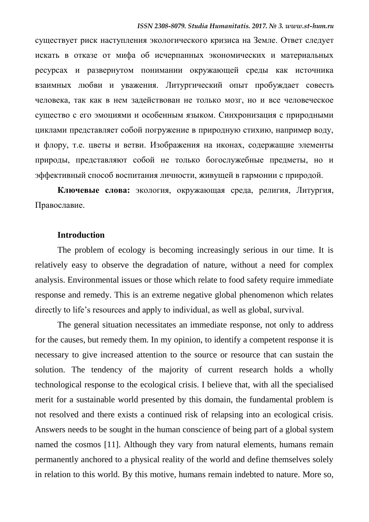существует риск наступления экологического кризиса на Земле. Ответ следует искать в отказе от мифа об исчерпанных экономических и материальных ресурсах и развернутом понимании окружающей среды как источника взаимных любви и уважения. Литургический опыт пробуждает совесть человека, так как в нем задействован не только мозг, но и все человеческое существо с его эмоциями и особенным языком. Синхронизация с природными циклами представляет собой погружение в природную стихию, например воду, и флору, т.е. цветы и ветви. Изображения на иконах, содержащие элементы природы, представляют собой не только богослужебные предметы, но и эффективный способ воспитания личности, живущей в гармонии с природой.

**Ключевые слова:** экология, окружающая среда, религия, Литургия, Православие.

#### **Introduction**

The problem of ecology is becoming increasingly serious in our time. It is relatively easy to observe the degradation of nature, without a need for complex analysis. Environmental issues or those which relate to food safety require immediate response and remedy. This is an extreme negative global phenomenon which relates directly to life's resources and apply to individual, as well as global, survival.

The general situation necessitates an immediate response, not only to address for the causes, but remedy them. In my opinion, to identify a competent response it is necessary to give increased attention to the source or resource that can sustain the solution. The tendency of the majority of current research holds a wholly technological response to the ecological crisis. I believe that, with all the specialised merit for a sustainable world presented by this domain, the fundamental problem is not resolved and there exists a continued risk of relapsing into an ecological crisis. Answers needs to be sought in the human conscience of being part of a global system named the cosmos [11]. Although they vary from natural elements, humans remain permanently anchored to a physical reality of the world and define themselves solely in relation to this world. By this motive, humans remain indebted to nature. More so,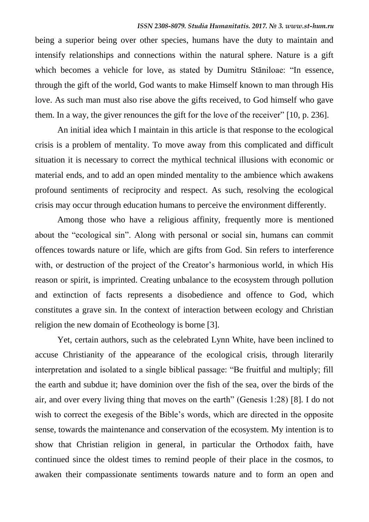being a superior being over other species, humans have the duty to maintain and intensify relationships and connections within the natural sphere. Nature is a gift which becomes a vehicle for love, as stated by Dumitru Stăniloae: "In essence, through the gift of the world, God wants to make Himself known to man through His love. As such man must also rise above the gifts received, to God himself who gave them. In a way, the giver renounces the gift for the love of the receiver" [10, p. 236].

An initial idea which I maintain in this article is that response to the ecological crisis is a problem of mentality. To move away from this complicated and difficult situation it is necessary to correct the mythical technical illusions with economic or material ends, and to add an open minded mentality to the ambience which awakens profound sentiments of reciprocity and respect. As such, resolving the ecological crisis may occur through education humans to perceive the environment differently.

Among those who have a religious affinity, frequently more is mentioned about the "ecological sin". Along with personal or social sin, humans can commit offences towards nature or life, which are gifts from God. Sin refers to interference with, or destruction of the project of the Creator's harmonious world, in which His reason or spirit, is imprinted. Creating unbalance to the ecosystem through pollution and extinction of facts represents a disobedience and offence to God, which constitutes a grave sin. In the context of interaction between ecology and Christian religion the new domain of Ecotheology is borne [3].

Yet, certain authors, such as the celebrated Lynn White, have been inclined to accuse Christianity of the appearance of the ecological crisis, through literarily interpretation and isolated to a single biblical passage: "Be fruitful and multiply; fill the earth and subdue it; have dominion over the fish of the sea, over the birds of the air, and over every living thing that moves on the earth" (Genesis 1:28) [8]. I do not wish to correct the exegesis of the Bible's words, which are directed in the opposite sense, towards the maintenance and conservation of the ecosystem. My intention is to show that Christian religion in general, in particular the Orthodox faith, have continued since the oldest times to remind people of their place in the cosmos, to awaken their compassionate sentiments towards nature and to form an open and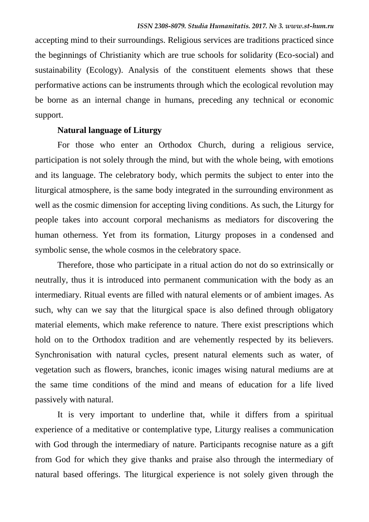accepting mind to their surroundings. Religious services are traditions practiced since the beginnings of Christianity which are true schools for solidarity (Eco-social) and sustainability (Ecology). Analysis of the constituent elements shows that these performative actions can be instruments through which the ecological revolution may be borne as an internal change in humans, preceding any technical or economic support.

# **Natural language of Liturgy**

For those who enter an Orthodox Church, during a religious service, participation is not solely through the mind, but with the whole being, with emotions and its language. The celebratory body, which permits the subject to enter into the liturgical atmosphere, is the same body integrated in the surrounding environment as well as the cosmic dimension for accepting living conditions. As such, the Liturgy for people takes into account corporal mechanisms as mediators for discovering the human otherness. Yet from its formation, Liturgy proposes in a condensed and symbolic sense, the whole cosmos in the celebratory space.

Therefore, those who participate in a ritual action do not do so extrinsically or neutrally, thus it is introduced into permanent communication with the body as an intermediary. Ritual events are filled with natural elements or of ambient images. As such, why can we say that the liturgical space is also defined through obligatory material elements, which make reference to nature. There exist prescriptions which hold on to the Orthodox tradition and are vehemently respected by its believers. Synchronisation with natural cycles, present natural elements such as water, of vegetation such as flowers, branches, iconic images wising natural mediums are at the same time conditions of the mind and means of education for a life lived passively with natural.

It is very important to underline that, while it differs from a spiritual experience of a meditative or contemplative type, Liturgy realises a communication with God through the intermediary of nature. Participants recognise nature as a gift from God for which they give thanks and praise also through the intermediary of natural based offerings. The liturgical experience is not solely given through the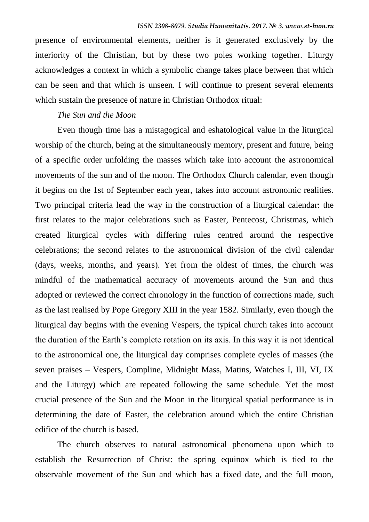presence of environmental elements, neither is it generated exclusively by the interiority of the Christian, but by these two poles working together. Liturgy acknowledges a context in which a symbolic change takes place between that which can be seen and that which is unseen. I will continue to present several elements which sustain the presence of nature in Christian Orthodox ritual:

# *The Sun and the Moon*

Even though time has a mistagogical and eshatological value in the liturgical worship of the church, being at the simultaneously memory, present and future, being of a specific order unfolding the masses which take into account the astronomical movements of the sun and of the moon. The Orthodox Church calendar, even though it begins on the 1st of September each year, takes into account astronomic realities. Two principal criteria lead the way in the construction of a liturgical calendar: the first relates to the major celebrations such as Easter, Pentecost, Christmas, which created liturgical cycles with differing rules centred around the respective celebrations; the second relates to the astronomical division of the civil calendar (days, weeks, months, and years). Yet from the oldest of times, the church was mindful of the mathematical accuracy of movements around the Sun and thus adopted or reviewed the correct chronology in the function of corrections made, such as the last realised by Pope Gregory XIII in the year 1582. Similarly, even though the liturgical day begins with the evening Vespers, the typical church takes into account the duration of the Earth's complete rotation on its axis. In this way it is not identical to the astronomical one, the liturgical day comprises complete cycles of masses (the seven praises – Vespers, Compline, Midnight Mass, Matins, Watches I, III, VI, IX and the Liturgy) which are repeated following the same schedule. Yet the most crucial presence of the Sun and the Moon in the liturgical spatial performance is in determining the date of Easter, the celebration around which the entire Christian edifice of the church is based.

The church observes to natural astronomical phenomena upon which to establish the Resurrection of Christ: the spring equinox which is tied to the observable movement of the Sun and which has a fixed date, and the full moon,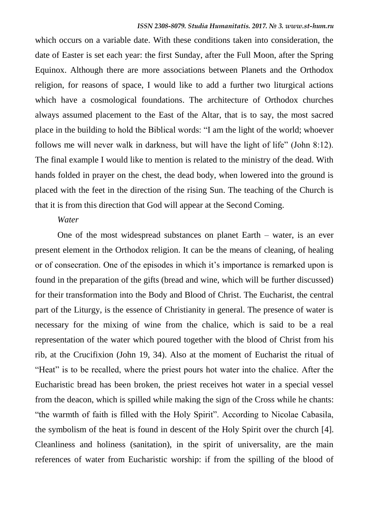which occurs on a variable date. With these conditions taken into consideration, the date of Easter is set each year: the first Sunday, after the Full Moon, after the Spring Equinox. Although there are more associations between Planets and the Orthodox religion, for reasons of space, I would like to add a further two liturgical actions which have a cosmological foundations. The architecture of Orthodox churches always assumed placement to the East of the Altar, that is to say, the most sacred place in the building to hold the Biblical words: "I am the light of the world; whoever follows me will never walk in darkness, but will have the light of life" (John 8:12). The final example I would like to mention is related to the ministry of the dead. With hands folded in prayer on the chest, the dead body, when lowered into the ground is placed with the feet in the direction of the rising Sun. The teaching of the Church is that it is from this direction that God will appear at the Second Coming.

#### *Water*

One of the most widespread substances on planet Earth – water, is an ever present element in the Orthodox religion. It can be the means of cleaning, of healing or of consecration. One of the episodes in which it's importance is remarked upon is found in the preparation of the gifts (bread and wine, which will be further discussed) for their transformation into the Body and Blood of Christ. The Eucharist, the central part of the Liturgy, is the essence of Christianity in general. The presence of water is necessary for the mixing of wine from the chalice, which is said to be a real representation of the water which poured together with the blood of Christ from his rib, at the Crucifixion (John 19, 34). Also at the moment of Eucharist the ritual of "Heat" is to be recalled, where the priest pours hot water into the chalice. After the Eucharistic bread has been broken, the priest receives hot water in a special vessel from the deacon, which is spilled while making the sign of the Cross while he chants: "the warmth of faith is filled with the Holy Spirit". According to Nicolae Cabasila, the symbolism of the heat is found in descent of the Holy Spirit over the church [4]. Cleanliness and holiness (sanitation), in the spirit of universality, are the main references of water from Eucharistic worship: if from the spilling of the blood of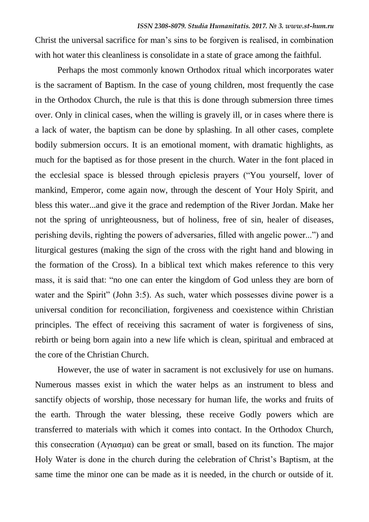Christ the universal sacrifice for man's sins to be forgiven is realised, in combination with hot water this cleanliness is consolidate in a state of grace among the faithful.

Perhaps the most commonly known Orthodox ritual which incorporates water is the sacrament of Baptism. In the case of young children, most frequently the case in the Orthodox Church, the rule is that this is done through submersion three times over. Only in clinical cases, when the willing is gravely ill, or in cases where there is a lack of water, the baptism can be done by splashing. In all other cases, complete bodily submersion occurs. It is an emotional moment, with dramatic highlights, as much for the baptised as for those present in the church. Water in the font placed in the ecclesial space is blessed through epiclesis prayers ("You yourself, lover of mankind, Emperor, come again now, through the descent of Your Holy Spirit, and bless this water...and give it the grace and redemption of the River Jordan. Make her not the spring of unrighteousness, but of holiness, free of sin, healer of diseases, perishing devils, righting the powers of adversaries, filled with angelic power...") and liturgical gestures (making the sign of the cross with the right hand and blowing in the formation of the Cross). In a biblical text which makes reference to this very mass, it is said that: "no one can enter the kingdom of God unless they are born of water and the Spirit" (John 3:5). As such, water which possesses divine power is a universal condition for reconciliation, forgiveness and coexistence within Christian principles. The effect of receiving this sacrament of water is forgiveness of sins, rebirth or being born again into a new life which is clean, spiritual and embraced at the core of the Christian Church.

However, the use of water in sacrament is not exclusively for use on humans. Numerous masses exist in which the water helps as an instrument to bless and sanctify objects of worship, those necessary for human life, the works and fruits of the earth. Through the water blessing, these receive Godly powers which are transferred to materials with which it comes into contact. In the Orthodox Church, this consecration (Αγιασμα) can be great or small, based on its function. The major Holy Water is done in the church during the celebration of Christ's Baptism, at the same time the minor one can be made as it is needed, in the church or outside of it.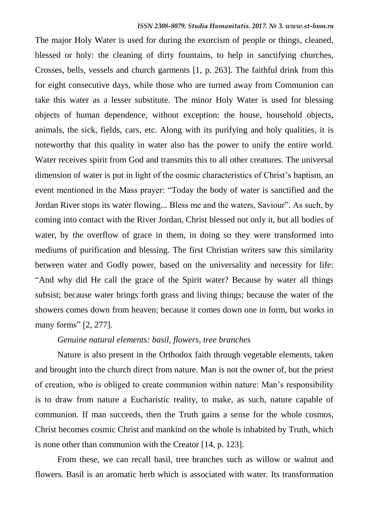The major Holy Water is used for during the exorcism of people or things, cleaned, blessed or holy: the cleaning of dirty fountains, to help in sanctifying churches, Crosses, bells, vessels and church garments [1, p. 263]. The faithful drink from this for eight consecutive days, while those who are turned away from Communion can take this water as a lesser substitute. The minor Holy Water is used for blessing objects of human dependence, without exception: the house, household objects, animals, the sick, fields, cars, etc. Along with its purifying and holy qualities, it is noteworthy that this quality in water also has the power to unify the entire world. Water receives spirit from God and transmits this to all other creatures. The universal dimension of water is put in light of the cosmic characteristics of Christ's baptism, an event mentioned in the Mass prayer: "Today the body of water is sanctified and the Jordan River stops its water flowing... Bless me and the waters, Saviour". As such, by coming into contact with the River Jordan, Christ blessed not only it, but all bodies of water, by the overflow of grace in them, in doing so they were transformed into mediums of purification and blessing. The first Christian writers saw this similarity between water and Godly power, based on the universality and necessity for life: "And why did He call the grace of the Spirit water? Because by water all things subsist; because water brings forth grass and living things; because the water of the showers comes down from heaven; because it comes down one in form, but works in many forms" [2, 277].

#### *Genuine natural elements: basil, flowers, tree branches*

Nature is also present in the Orthodox faith through vegetable elements, taken and brought into the church direct from nature. Man is not the owner of, but the priest of creation, who is obliged to create communion within nature: Man's responsibility is to draw from nature a Eucharistic reality, to make, as such, nature capable of communion. If man succeeds, then the Truth gains a sense for the whole cosmos, Christ becomes cosmic Christ and mankind on the whole is inhabited by Truth, which is none other than communion with the Creator [14, p. 123].

From these, we can recall basil, tree branches such as willow or walnut and flowers. Basil is an aromatic herb which is associated with water. Its transformation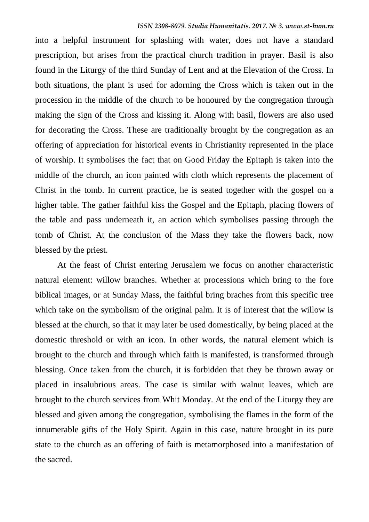into a helpful instrument for splashing with water, does not have a standard prescription, but arises from the practical church tradition in prayer. Basil is also found in the Liturgy of the third Sunday of Lent and at the Elevation of the Cross. In both situations, the plant is used for adorning the Cross which is taken out in the procession in the middle of the church to be honoured by the congregation through making the sign of the Cross and kissing it. Along with basil, flowers are also used for decorating the Cross. These are traditionally brought by the congregation as an offering of appreciation for historical events in Christianity represented in the place of worship. It symbolises the fact that on Good Friday the Epitaph is taken into the middle of the church, an icon painted with cloth which represents the placement of Christ in the tomb. In current practice, he is seated together with the gospel on a higher table. The gather faithful kiss the Gospel and the Epitaph, placing flowers of the table and pass underneath it, an action which symbolises passing through the tomb of Christ. At the conclusion of the Mass they take the flowers back, now blessed by the priest.

At the feast of Christ entering Jerusalem we focus on another characteristic natural element: willow branches. Whether at processions which bring to the fore biblical images, or at Sunday Mass, the faithful bring braches from this specific tree which take on the symbolism of the original palm. It is of interest that the willow is blessed at the church, so that it may later be used domestically, by being placed at the domestic threshold or with an icon. In other words, the natural element which is brought to the church and through which faith is manifested, is transformed through blessing. Once taken from the church, it is forbidden that they be thrown away or placed in insalubrious areas. The case is similar with walnut leaves, which are brought to the church services from Whit Monday. At the end of the Liturgy they are blessed and given among the congregation, symbolising the flames in the form of the innumerable gifts of the Holy Spirit. Again in this case, nature brought in its pure state to the church as an offering of faith is metamorphosed into a manifestation of the sacred.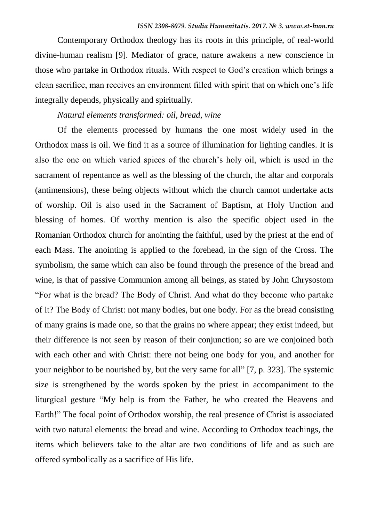Contemporary Orthodox theology has its roots in this principle, of real-world divine-human realism [9]. Mediator of grace, nature awakens a new conscience in those who partake in Orthodox rituals. With respect to God's creation which brings a clean sacrifice, man receives an environment filled with spirit that on which one's life integrally depends, physically and spiritually.

# *Natural elements transformed: oil, bread, wine*

Of the elements processed by humans the one most widely used in the Orthodox mass is oil. We find it as a source of illumination for lighting candles. It is also the one on which varied spices of the church's holy oil, which is used in the sacrament of repentance as well as the blessing of the church, the altar and corporals (antimensions), these being objects without which the church cannot undertake acts of worship. Oil is also used in the Sacrament of Baptism, at Holy Unction and blessing of homes. Of worthy mention is also the specific object used in the Romanian Orthodox church for anointing the faithful, used by the priest at the end of each Mass. The anointing is applied to the forehead, in the sign of the Cross. The symbolism, the same which can also be found through the presence of the bread and wine, is that of passive Communion among all beings, as stated by John Chrysostom "For what is the bread? The Body of Christ. And what do they become who partake of it? The Body of Christ: not many bodies, but one body. For as the bread consisting of many grains is made one, so that the grains no where appear; they exist indeed, but their difference is not seen by reason of their conjunction; so are we conjoined both with each other and with Christ: there not being one body for you, and another for your neighbor to be nourished by, but the very same for all" [7, p. 323]. The systemic size is strengthened by the words spoken by the priest in accompaniment to the liturgical gesture "My help is from the Father, he who created the Heavens and Earth!" The focal point of Orthodox worship, the real presence of Christ is associated with two natural elements: the bread and wine. According to Orthodox teachings, the items which believers take to the altar are two conditions of life and as such are offered symbolically as a sacrifice of His life.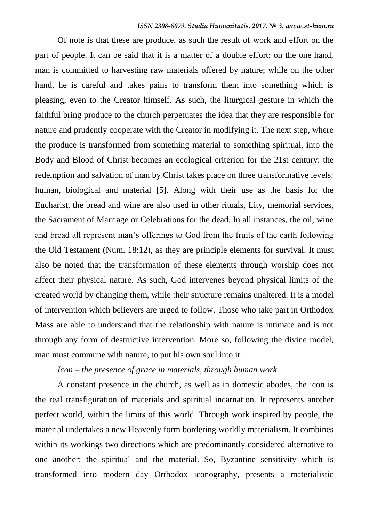Of note is that these are produce, as such the result of work and effort on the part of people. It can be said that it is a matter of a double effort: on the one hand, man is committed to harvesting raw materials offered by nature; while on the other hand, he is careful and takes pains to transform them into something which is pleasing, even to the Creator himself. As such, the liturgical gesture in which the faithful bring produce to the church perpetuates the idea that they are responsible for nature and prudently cooperate with the Creator in modifying it. The next step, where the produce is transformed from something material to something spiritual, into the Body and Blood of Christ becomes an ecological criterion for the 21st century: the redemption and salvation of man by Christ takes place on three transformative levels: human, biological and material [5]. Along with their use as the basis for the Eucharist, the bread and wine are also used in other rituals, Lity, memorial services, the Sacrament of Marriage or Celebrations for the dead. In all instances, the oil, wine and bread all represent man's offerings to God from the fruits of the earth following the Old Testament (Num. 18:12), as they are principle elements for survival. It must also be noted that the transformation of these elements through worship does not affect their physical nature. As such, God intervenes beyond physical limits of the created world by changing them, while their structure remains unaltered. It is a model of intervention which believers are urged to follow. Those who take part in Orthodox Mass are able to understand that the relationship with nature is intimate and is not through any form of destructive intervention. More so, following the divine model, man must commune with nature, to put his own soul into it.

## *Icon – the presence of grace in materials, through human work*

A constant presence in the church, as well as in domestic abodes, the icon is the real transfiguration of materials and spiritual incarnation. It represents another perfect world, within the limits of this world. Through work inspired by people, the material undertakes a new Heavenly form bordering worldly materialism. It combines within its workings two directions which are predominantly considered alternative to one another: the spiritual and the material. So, Byzantine sensitivity which is transformed into modern day Orthodox iconography, presents a materialistic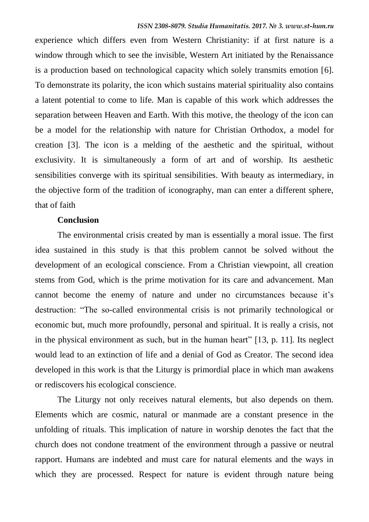experience which differs even from Western Christianity: if at first nature is a window through which to see the invisible, Western Art initiated by the Renaissance is a production based on technological capacity which solely transmits emotion [6]. To demonstrate its polarity, the icon which sustains material spirituality also contains a latent potential to come to life. Man is capable of this work which addresses the separation between Heaven and Earth. With this motive, the theology of the icon can be a model for the relationship with nature for Christian Orthodox, a model for creation [3]. The icon is a melding of the aesthetic and the spiritual, without exclusivity. It is simultaneously a form of art and of worship. Its aesthetic sensibilities converge with its spiritual sensibilities. With beauty as intermediary, in the objective form of the tradition of iconography, man can enter a different sphere, that of faith

#### **Conclusion**

The environmental crisis created by man is essentially a moral issue. The first idea sustained in this study is that this problem cannot be solved without the development of an ecological conscience. From a Christian viewpoint, all creation stems from God, which is the prime motivation for its care and advancement. Man cannot become the enemy of nature and under no circumstances because it's destruction: "The so-called environmental crisis is not primarily technological or economic but, much more profoundly, personal and spiritual. It is really a crisis, not in the physical environment as such, but in the human heart" [13, p. 11]. Its neglect would lead to an extinction of life and a denial of God as Creator. The second idea developed in this work is that the Liturgy is primordial place in which man awakens or rediscovers his ecological conscience.

The Liturgy not only receives natural elements, but also depends on them. Elements which are cosmic, natural or manmade are a constant presence in the unfolding of rituals. This implication of nature in worship denotes the fact that the church does not condone treatment of the environment through a passive or neutral rapport. Humans are indebted and must care for natural elements and the ways in which they are processed. Respect for nature is evident through nature being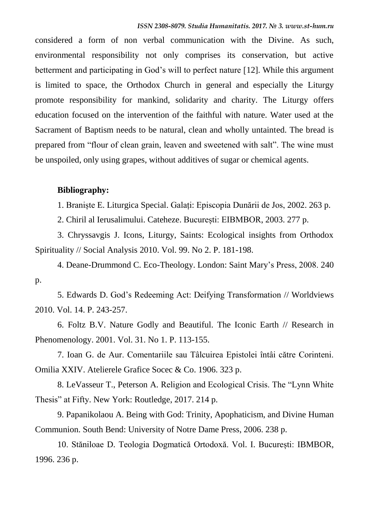considered a form of non verbal communication with the Divine. As such, environmental responsibility not only comprises its conservation, but active betterment and participating in God's will to perfect nature [12]. While this argument is limited to space, the Orthodox Church in general and especially the Liturgy promote responsibility for mankind, solidarity and charity. The Liturgy offers education focused on the intervention of the faithful with nature. Water used at the Sacrament of Baptism needs to be natural, clean and wholly untainted. The bread is prepared from "flour of clean grain, leaven and sweetened with salt". The wine must be unspoiled, only using grapes, without additives of sugar or chemical agents.

# **Bibliography:**

1. Braniște E. Liturgica Special. Galați: Episcopia Dunării de Jos, 2002. 263 p.

2. Chiril al Ierusalimului. Cateheze. București: EIBMBOR, 2003. 277 p.

3. Chryssavgis J. Icons, Liturgy, Saints: Ecological insights from Orthodox Spirituality // Social Analysis 2010. Vol. 99. No 2. P. 181-198.

4. Deane-Drummond C. Eco-Theology. London: Saint Mary's Press, 2008. 240 p.

5. Edwards D. God's Redeeming Act: Deifying Transformation // Worldviews 2010. Vol. 14. P. 243-257.

6. Foltz B.V. Nature Godly and Beautiful. The Iconic Earth // Research in Phenomenology. 2001. Vol. 31. No 1. P. 113-155.

7. Ioan G. de Aur. Comentariile sau Tâlcuirea Epistolei întâi către Corinteni. Omilia XXIV. Atelierele Grafice Socec & Co. 1906. 323 p.

8. LeVasseur T., Peterson A. Religion and Ecological Crisis. The "Lynn White Thesis" at Fifty. New York: Routledge, 2017. 214 p.

9. Papanikolaou A. Being with God: Trinity, Apophaticism, and Divine Human Communion. South Bend: University of Notre Dame Press, 2006. 238 p.

10. Stăniloae D. Teologia Dogmatică Ortodoxă. Vol. I. București: IBMBOR, 1996. 236 p.